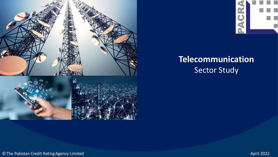



# **Telecommunication** Sector Study

©The Pakistan Credit RatingAgency Limited April 2022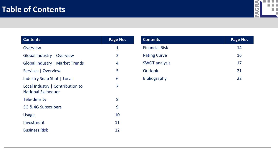

| <b>Contents</b>                                               | Page No.       |
|---------------------------------------------------------------|----------------|
| <b>Overview</b>                                               | 1              |
| Global Industry   Overview                                    | $\overline{2}$ |
| Global Industry   Market Trends                               | 4              |
| Services   Overview                                           | 5              |
| Industry Snap Shot   Local                                    | 6              |
| Local Industry   Contribution to<br><b>National Exchequer</b> | 7              |
| Tele-density                                                  | 8              |
| 3G & 4G Subscribers                                           | 9              |
| <b>Usage</b>                                                  | 10             |
| Investment                                                    | 11             |
| <b>Business Risk</b>                                          | 12             |

| <b>Contents</b>       | Page No. |
|-----------------------|----------|
| <b>Financial Risk</b> | 14       |
| <b>Rating Curve</b>   | 16       |
| <b>SWOT analysis</b>  | 17       |
| <b>Outlook</b>        | 21       |
| <b>Bibliography</b>   | 22       |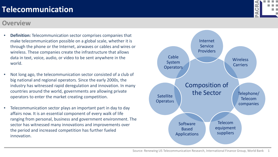#### **Overview**

- **Definition:** Telecommunication sector comprises companies that make telecommunication possible on a global scale, whether it is through the phone or the Internet, airwaves or cables and wires or wireless. These companies create the infrastructure that allows data in text, voice, audio, or video to be sent anywhere in the world.
- Not long ago, the telecommunication sector consisted of a club of big national and regional operators. Since the early 2000s, the industry has witnessed rapid deregulation and innovation. In many countries around the world, governments are allowing private operators to enter the market creating competition.
- Telecommunication sector plays an important part in day to day affairs now. It is an essential component of every walk of life ranging from personal, business and government environment. The sector has witnessed many innovations and improvements over the period and increased competition has further fueled innovation.



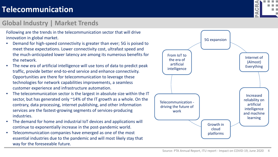#### **Global Industry | Market Trends**



Following are the trends in the telecommunication sector that will drive innovation in global market.

- Demand for high-speed connectivity is greater than ever; 5G is poised to meet these expectations. Lower connectivity cost, ultrafast speed and the much-anticipated lower latency are among its numerous benefits for the network.
- The new era of artificial intelligence will use tons of data to predict peak traffic, provide better end-to-end service and enhance connectivity. Opportunities are there for telecommunication to leverage these technologies for network capabilities improvements, a seamless customer experience and infrastructure automation.
- The telecommunication sector is the largest in absolute size within the IT sector, but has generated only ~14% of the IT growth as a whole. On the contrary, data processing, internet publishing, and other information services are the fastest-growing segments of services-producing industries.
- The demand for home and industrial IoT devices and applications will continue to exponentially increase in the post-pandemic world.
- Telecommunication companies have emerged as one of the most essential industries due to the pandemic and will most likely stay that way for the foreseeable future.

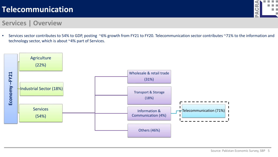

#### **Services | Overview**

• Services sector contributes to 54% to GDP, posting ~6% growth from FY21 to FY20. Telecommunication sector contributes ~71% to the information and technology sector, which is about ~4% part of Services.

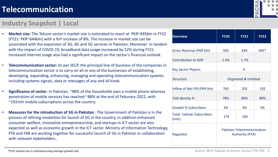#### **Industry Snapshot | Local**

- **Market size:** The Telcom sector's market size is estimated to reach at PKR~695bln in FY22 (FY21: PKR~644bln) with a YoY increase of 8%. The increase in market size can be associated with the expansion of 3G, 4G and 5G services in Pakistan, Moreover in tandem with the impact of COVID-19, broadband data usage increased by 52% during FY21. Increased Internet usage also had a significant impact on the sector's financial outlook.
- **Telecommunication sector:** As per SECP, the principal line of business of the companies in telecommunication sector is to carry on all or any of the businesses of establishing, developing, expanding, enhancing, managing and operating telecommunication systems including systems signals, data or messages of any and all kinds.
- **Significance of sector**: In Pakistan, ~98% of the households own a mobile phone whereas penetration of mobile services has reached ~88% at the end of Feburary-2022, with ~192mln mobile subscriptions across the country.
- **Measures for the introduction of 5G in Pakistan** : The Government of Pakistan is in the process of refining modalities for launch of 5G in the country. In addition enhanced consumer welfare, innovative entrepreneurship, and startups in ICT sector are also expected as well as economic growth in the ICT sector. Ministry of Information Technology, PTA and FAB are working together for successful launch of 5G in Pakistan in collaboration with relevant stakeholders...

| <b>Overview</b>                            | <b>FY20</b>                                                 | <b>FY21</b> | <b>FY22</b> |
|--------------------------------------------|-------------------------------------------------------------|-------------|-------------|
| <b>Gross Revenue (PKR bln)</b>             | 593                                                         | 644         | 695*        |
| <b>Contribution to GDP</b>                 | 1.4%                                                        | 1.7%        |             |
| <b>Key Sector Players</b>                  | 4                                                           |             |             |
| <b>Structure</b>                           | <b>Organized &amp; Unlisted</b>                             |             |             |
| Inflow of Net FDI (PKR bln)                | 763                                                         | 202         | 192         |
| Tele density %                             | 78%                                                         | 85%         | 88%         |
| <b>Growth % Subscribers</b>                | 3%                                                          | 3%          | 5%          |
| <b>Total Cellular Subscribers</b><br>(mIn) | 174                                                         | 183         |             |
| Regulator                                  | <b>Pakistan Telecommunication</b><br><b>Authority (PTA)</b> |             |             |

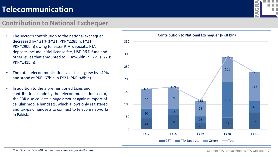#### **Contribution to National Exchequer**

- The sector's contribution to the national exchequer decreased by ~21% (FY21: PKR~228bln; FY21: PKR~290bln) owing to lesser PTA deposits. PTA deposits include initial license fee, USF, R&D fund and other levies that amounted to PKR~45bln in FY21 (FY20: PKR~141bln).
- The total telecommunication sales taxes grew by ~40% and stood at PKR~67bln in FY21 (PKR~48bln)
- In addition to the aforementioned taxes and contributions made by the telecommunication sector, the FBR also collects a huge amount against import of cellular mobile handsets, which allows only registered and tax-paid handsets to connect to telecom networks in Pakistan.



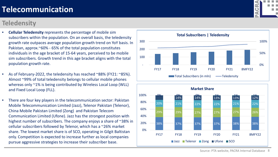Source: PTA website, PACRA Internal Database 8

# **Telecommunication**

#### **Teledensity**

- **Cellular Teledensity** represents the percentage of mobile sim subscribers within the population. On an overall basis, the teledensity growth rate outpaces average population growth trend on YoY basis. In Pakistan, approx.~60% - 65% of the total population constitutes individuals in the age bracket of 15-64 years, perceived to be mobile sim subscribers. Growth trend in this age bracket aligns with the total population growth rate.
- As of February-2022, the teledensity has reached ~88% (FY21: ~85%). Almost ~99% of total teledensity belongs to cellular mobile phones whereas only ~1% is being contributed by Wireless Local Loop (WLL) and Fixed Local Loop (FLL).
- There are four key players in the telecommunication sector: Pakistan Mobile Telecommunication Limited (Jazz), Telenor Pakistan (Telenor), China Mobile Pakistan Limited (Zong) and Pakistan Telecom Communication Limited (Ufone). Jazz has the strongest position with highest number of subscribers. The company enjoys a share of ~38% in cellular subscribers followed by Telenor, which has a ~26% market share. The lowest market share is of SCO, operating in Gilgit Baltistan only. Competition is expected to increase further as local companies pursue aggressive strategies to increase their subscriber base.





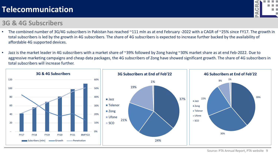# O

#### **3G & 4G Subscribers**

- The combined number of 3G/4G subscribers in Pakistan has reached ~111 mln as at end February -2022 with a CAGR of ~25% since FY17. The growth in total subscribers is led by the growth in 4G subscribers. The share of 4G subscribers is expected to increase further backed by the availability of affordable 4G supported devices.
- Jazz is the market leader in 4G subscribers with a market share of ~39% followed by Zong having ~30% market share as at end Feb-2022. Due to aggressive marketing campaigns and cheap data packages, the 4G subscribers of Zong have showed significant growth. The share of 4G subscribers in total subscribers will increase further.

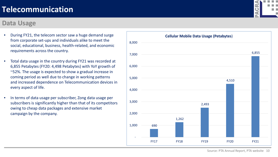#### **Data Usage**



- During FY21, the telecom sector saw a huge demand surge from corporate set-ups and individuals alike to meet the social, educational, business, health-related, and economic requirements across the country.
- Total data usage in the country during FY21 was recorded at 6,855 Petabytes (FY20: 4,498 Petabytes) with YoY growth of ~52%. The usage is expected to show a gradual increase in coming period as well due to change in working patterns and increased dependence on Telecommunication devices in every aspect of life.
- In terms of data usage per subscriber, Zong data usage per subscribers is significantly higher than that of its competitors owing to cheap data packages and extensive market campaign by the company.

Source: PTA Annual Report, PTA website 10

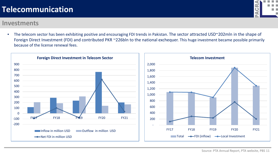#### **Investments**

• The telecom sector has been exhibiting positive and encouraging FDI trends in Pakistan. The sector attracted USD~202mln in the shape of Foreign Direct Investment (FDI) and contributed PKR ~226bln to the national exchequer. This huge investment became possible primarily because of the license renewal fees.



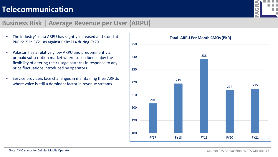

#### **Business Risk | Average Revenue per User (ARPU)**

- The industry's data ARPU has slightly increased and stood at PKR~215 in FY21 as against PKR~214 during FY20.
- Pakistan has a relatively low ARPU and predominantly a prepaid subscription market where subscribers enjoy the flexibility of altering their usage patterns in response to any price fluctuations introduced by operators.
- Service providers face challenges in maintaining their ARPUs where voice is still a dominant factor in revenue streams.

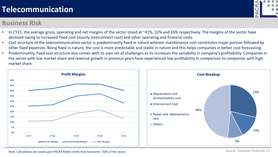#### **Business Risk**



- In CY21, the average gross, operating and net margins of the sector stood at ~41%, 32% and 16% respectively. The margins of the sector have declined owing to increased fixed cost (mainly interconnect cost) and other operating and financial costs.
- Cost structure of the telecommunication sector is predominantly fixed in nature wherein maintenance cost constitutes major portion followed by other fixed expenses. Being fixed in nature, the cost is more predictable and stable in nature and this helps companies in better cost forecasting.
- Predominantly, fixed cost structure also comes with its own set of challenges as its increases the variability in company's profitability. Companies in the sector with low market share and revenue growth in previous years have experienced low profitability in comparison to companies with high market share.



Note: Calculations are based upon PACRA Rated clients that represents ~30% of the sector.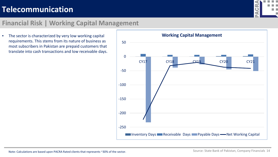

#### **Financial Risk | Working Capital Management**

• The sector is characterized by very low working capital requirements. This stems from its nature of business as most subscribers in Pakistan are prepaid customers that translate into cash transactions and low receivable days.

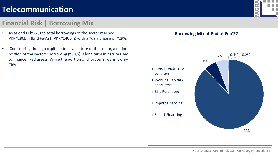#### **Financial Risk | Borrowing Mix**

- As at end Feb'22, the total borrowings of the sector reached PKR~180bln (End Feb'21: PKR~140bln) with a YoY increase of ~29%.
- Considering the high capital intensive nature of the sector, a major portion of the sector's borrowing (~88%) is long term in nature used to finance fixed assets. While the portion of short term loans is only  $~6\%$



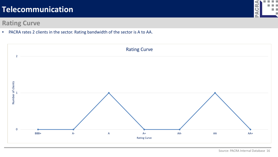#### **Rating Curve**

• PACRA rates 2 clients in the sector. Rating bandwidth of the sector is A to AA.





Source: PACRA Internal Database 16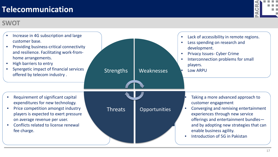# **SWOT**

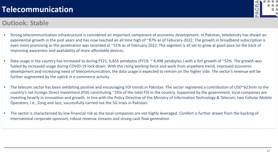## **Outlook: Stable**

- Strong telecommunication infrastructure is considered an important component of economic development. In Pakistan, teledensity has shown an exponential growth in the past years and has now reached an all time high of ~87% as of Feburary-2022. The growth in broadband subscription is even more promising as the penetration was recorded at ~51% as of February 2022. The segment is all set to grow at good pace on the back of improving awareness and availability of more affordable devices.
- Data usage in the country has increased to during FY21: 6,855 petabytes (FY19: ~ 4,498 petabytes ) with a YoY growth of ~52%. The growth was fueled by increased usage during COVID-19 lock down. With the rising working force and work from anywhere trend, improved economic development and increasing need of telecommunication, the data usage is expected to remain on the higher side. The sector's revenue will be further augmented by the uptick in e-commerce activity.
- The telecom sector has been exhibiting positive and encouraging FDI trends in Pakistan. The sector registered a contribution of USD~623mln to the country's net Foreign Direct Investment (FDI) constituting ~24% of the total FDI in the country. Supported by the government, local companies are investing heavily in innovation and growth. In line with the Policy Directive of the Ministry of Information Technology & Telecom, two Cellular Mobile Operators, i.e., Zong and Jazz, successfully carried out the 5G trials in Pakistan.
- The sector is characterized by low financial risk as the local companies are not highly leveraged. Comfort is further drawn from the backing of international corporate sponsors, robust revenue streams and strong cash flow generation.